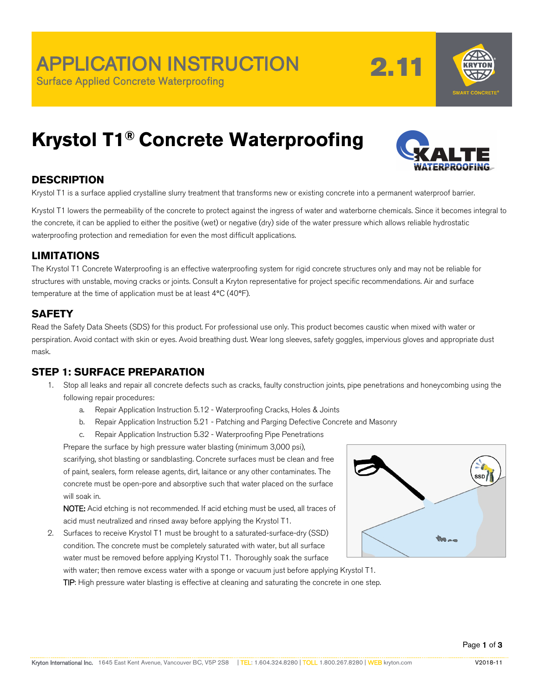2.11



# **Krystol T1® Concrete Waterproofing**



### **DESCRIPTION**

Krystol T1 is a surface applied crystalline slurry treatment that transforms new or existing concrete into a permanent waterproof barrier.

Krystol T1 lowers the permeability of the concrete to protect against the ingress of water and waterborne chemicals. Since it becomes integral to the concrete, it can be applied to either the positive (wet) or negative (dry) side of the water pressure which allows reliable hydrostatic waterproofing protection and remediation for even the most difficult applications.

#### **LIMITATIONS**

The Krystol T1 Concrete Waterproofing is an effective waterproofing system for rigid concrete structures only and may not be reliable for structures with unstable, moving cracks or joints. Consult a Kryton representative for project specific recommendations. Air and surface temperature at the time of application must be at least 4**°**C (40**°**F).

#### **SAFETY**

Read the Safety Data Sheets (SDS) for this product. For professional use only. This product becomes caustic when mixed with water or perspiration. Avoid contact with skin or eyes. Avoid breathing dust. Wear long sleeves, safety goggles, impervious gloves and appropriate dust mask.

#### **STEP 1: SURFACE PREPARATION**

- 1. Stop all leaks and repair all concrete defects such as cracks, faulty construction joints, pipe penetrations and honeycombing using the following repair procedures:
	- a. Repair Application Instruction 5.12 Waterproofing Cracks, Holes & Joints
	- b. Repair Application Instruction 5.21 Patching and Parging Defective Concrete and Masonry
	- c. Repair Application Instruction 5.32 Waterproofing Pipe Penetrations

Prepare the surface by high pressure water blasting (minimum 3,000 psi), scarifying, shot blasting or sandblasting. Concrete surfaces must be clean and free of paint, sealers, form release agents, dirt, laitance or any other contaminates. The concrete must be open-pore and absorptive such that water placed on the surface will soak in.

NOTE: Acid etching is not recommended. If acid etching must be used, all traces of acid must neutralized and rinsed away before applying the Krystol T1.

2. Surfaces to receive Krystol T1 must be brought to a saturated-surface-dry (SSD) condition. The concrete must be completely saturated with water, but all surface water must be removed before applying Krystol T1. Thoroughly soak the surface



with water; then remove excess water with a sponge or vacuum just before applying Krystol T1. TIP: High pressure water blasting is effective at cleaning and saturating the concrete in one step.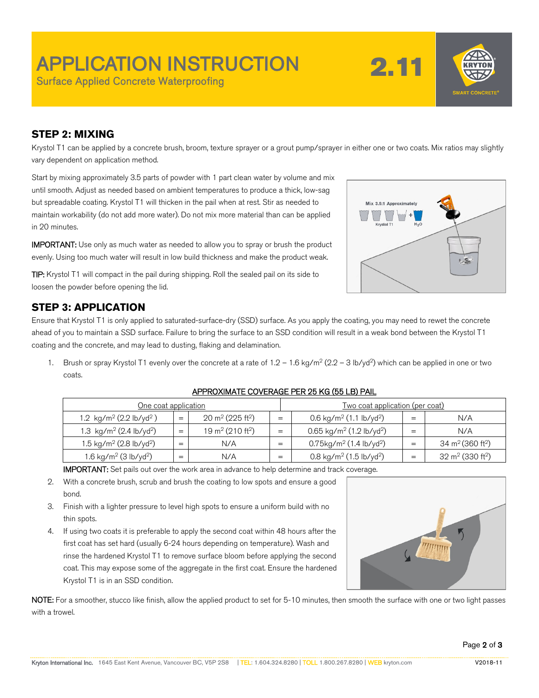## APPLICATION INSTRUCTION Surface Applied Concrete Waterproofing

2.11



#### **STEP 2: MIXING**

Krystol T1 can be applied by a concrete brush, broom, texture sprayer or a grout pump/sprayer in either one or two coats. Mix ratios may slightly vary dependent on application method.

Start by mixing approximately 3.5 parts of powder with 1 part clean water by volume and mix until smooth. Adjust as needed based on ambient temperatures to produce a thick, low-sag but spreadable coating. Krystol T1 will thicken in the pail when at rest. Stir as needed to maintain workability (do not add more water). Do not mix more material than can be applied in 20 minutes.

IMPORTANT: Use only as much water as needed to allow you to spray or brush the product evenly. Using too much water will result in low build thickness and make the product weak.

TIP: Krystol T1 will compact in the pail during shipping. Roll the sealed pail on its side to loosen the powder before opening the lid.

### **STEP 3: APPLICATION**

Ensure that Krystol T1 is only applied to saturated-surface-dry (SSD) surface. As you apply the coating, you may need to rewet the concrete ahead of you to maintain a SSD surface. Failure to bring the surface to an SSD condition will result in a weak bond between the Krystol T1 coating and the concrete, and may lead to dusting, flaking and delamination.

Brush or spray Krystol T1 evenly over the concrete at a rate of  $1.2 - 1.6$  kg/m<sup>2</sup> ( $2.2 - 3$  lb/yd<sup>2</sup>) which can be applied in one or two coats.

| One coat application                            |     |                                          |     | <u>Two coat application (per coat)</u>             |     |                                          |
|-------------------------------------------------|-----|------------------------------------------|-----|----------------------------------------------------|-----|------------------------------------------|
| 1.2 kg/m <sup>2</sup> (2.2 lb/yd <sup>2</sup> ) | $=$ | 20 m <sup>2</sup> (225 ft <sup>2</sup> ) | $=$ | 0.6 kg/m <sup>2</sup> (1.1 lb/yd <sup>2</sup> )    | $=$ | N/A                                      |
| 1.3 kg/m <sup>2</sup> (2.4 lb/yd <sup>2</sup> ) | $=$ | 19 m <sup>2</sup> (210 ft <sup>2</sup> ) | $=$ | $0.65$ kg/m <sup>2</sup> (1.2 lb/yd <sup>2</sup> ) | $=$ | N/A                                      |
| 1.5 kg/m <sup>2</sup> (2.8 lb/yd <sup>2</sup> ) | $=$ | N/A                                      | =   | $0.75$ kg/m <sup>2</sup> (1.4 lb/yd <sup>2</sup> ) | $=$ | 34 m <sup>2</sup> (360 ft <sup>2</sup> ) |
| 1.6 kg/m <sup>2</sup> (3 lb/yd <sup>2</sup> )   | =   | N/A                                      | $=$ | 0.8 kg/m <sup>2</sup> (1.5 lb/yd <sup>2</sup> )    | $=$ | 32 m <sup>2</sup> (330 ft <sup>2</sup> ) |

#### APPROXIMATE COVERAGE PER 25 KG (55 LB) PAIL

IMPORTANT: Set pails out over the work area in advance to help determine and track coverage.

- 2. With a concrete brush, scrub and brush the coating to low spots and ensure a good bond.
- 3. Finish with a lighter pressure to level high spots to ensure a uniform build with no thin spots.
- 4. If using two coats it is preferable to apply the second coat within 48 hours after the first coat has set hard (usually 6-24 hours depending on temperature). Wash and rinse the hardened Krystol T1 to remove surface bloom before applying the second coat. This may expose some of the aggregate in the first coat. Ensure the hardened Krystol T1 is in an SSD condition.



NOTE: For a smoother, stucco like finish, allow the applied product to set for 5-10 minutes, then smooth the surface with one or two light passes with a trowel.